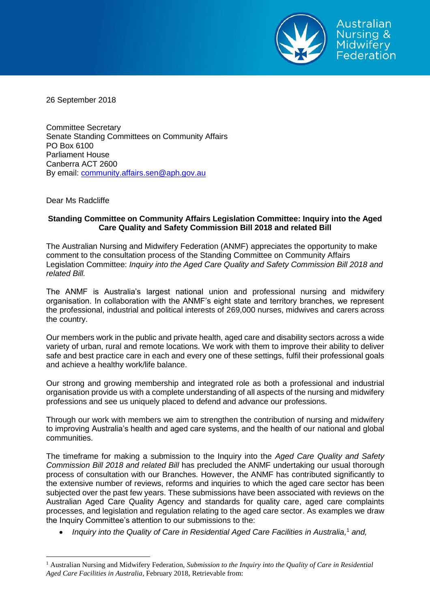

26 September 2018

Committee Secretary Senate Standing Committees on Community Affairs PO Box 6100 Parliament House Canberra ACT 2600 By email: community.affairs.sen@aph.gov.au

Dear Ms Radcliffe

 $\overline{a}$ 

## **Standing Committee on Community Affairs Legislation Committee: Inquiry into the Aged Care Quality and Safety Commission Bill 2018 and related Bill**

The Australian Nursing and Midwifery Federation (ANMF) appreciates the opportunity to make comment to the consultation process of the Standing Committee on Community Affairs Legislation Committee: *Inquiry into the Aged Care Quality and Safety Commission Bill 2018 and related Bill.*

The ANMF is Australia's largest national union and professional nursing and midwifery organisation. In collaboration with the ANMF's eight state and territory branches, we represent the professional, industrial and political interests of 269,000 nurses, midwives and carers across the country.

Our members work in the public and private health, aged care and disability sectors across a wide variety of urban, rural and remote locations. We work with them to improve their ability to deliver safe and best practice care in each and every one of these settings, fulfil their professional goals and achieve a healthy work/life balance.

Our strong and growing membership and integrated role as both a professional and industrial organisation provide us with a complete understanding of all aspects of the nursing and midwifery professions and see us uniquely placed to defend and advance our professions.

Through our work with members we aim to strengthen the contribution of nursing and midwifery to improving Australia's health and aged care systems, and the health of our national and global communities.

The timeframe for making a submission to the Inquiry into the *Aged Care Quality and Safety Commission Bill 2018 and related Bill* has precluded the ANMF undertaking our usual thorough process of consultation with our Branches. However, the ANMF has contributed significantly to the extensive number of reviews, reforms and inquiries to which the aged care sector has been subjected over the past few years. These submissions have been associated with reviews on the Australian Aged Care Quality Agency and standards for quality care, aged care complaints processes, and legislation and regulation relating to the aged care sector. As examples we draw the Inquiry Committee's attention to our submissions to the:

*Inquiry into the Quality of Care in Residential Aged Care Facilities in Australia,* <sup>1</sup> *and,*

<sup>1</sup> Australian Nursing and Midwifery Federation, *Submission to the Inquiry into the Quality of Care in Residential Aged Care Facilities in Australia*, February 2018, Retrievable from: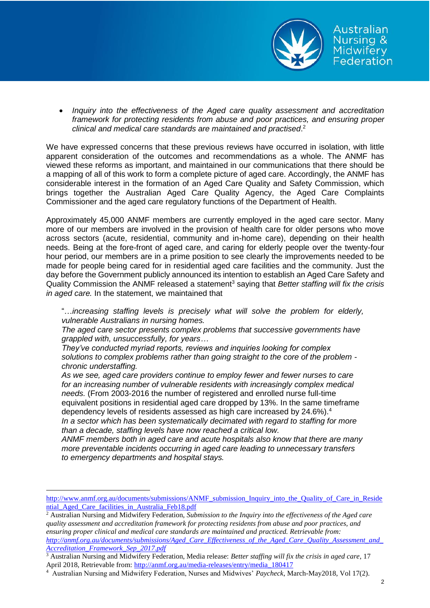

 *Inquiry into the effectiveness of the Aged care quality assessment and accreditation framework for protecting residents from abuse and poor practices, and ensuring proper clinical and medical care standards are maintained and practised*. 2

We have expressed concerns that these previous reviews have occurred in isolation, with little apparent consideration of the outcomes and recommendations as a whole. The ANMF has viewed these reforms as important, and maintained in our communications that there should be a mapping of all of this work to form a complete picture of aged care. Accordingly, the ANMF has considerable interest in the formation of an Aged Care Quality and Safety Commission, which brings together the Australian Aged Care Quality Agency, the Aged Care Complaints Commissioner and the aged care regulatory functions of the Department of Health.

Approximately 45,000 ANMF members are currently employed in the aged care sector. Many more of our members are involved in the provision of health care for older persons who move across sectors (acute, residential, community and in-home care), depending on their health needs. Being at the fore-front of aged care, and caring for elderly people over the twenty-four hour period, our members are in a prime position to see clearly the improvements needed to be made for people being cared for in residential aged care facilities and the community. Just the day before the Government publicly announced its intention to establish an Aged Care Safety and Quality Commission the ANMF released a statement<sup>3</sup> saying that *Better staffing will fix the crisis in aged care.* In the statement, we maintained that

"…*increasing staffing levels is precisely what will solve the problem for elderly, vulnerable Australians in nursing homes.*

*The aged care sector presents complex problems that successive governments have grappled with, unsuccessfully, for years…*

*They've conducted myriad reports, reviews and inquiries looking for complex solutions to complex problems rather than going straight to the core of the problem chronic understaffing.* 

*As we see, aged care providers continue to employ fewer and fewer nurses to care for an increasing number of vulnerable residents with increasingly complex medical needs.* (From 2003-2016 the number of registered and enrolled nurse full-time equivalent positions in residential aged care dropped by 13%. In the same timeframe dependency levels of residents assessed as high care increased by 24.6%).<sup>4</sup>

*In a sector which has been systematically decimated with regard to staffing for more than a decade, staffing levels have now reached a critical low.* 

*ANMF members both in aged care and acute hospitals also know that there are many more preventable incidents occurring in aged care leading to unnecessary transfers to emergency departments and hospital stays.*

 $\overline{a}$ 

[http://www.anmf.org.au/documents/submissions/ANMF\\_submission\\_Inquiry\\_into\\_the\\_Quality\\_of\\_Care\\_in\\_Reside](http://www.anmf.org.au/documents/submissions/ANMF_submission_Inquiry_into_the_Quality_of_Care_in_Residential_Aged_Care_facilities_in_Australia_Feb18.pdf) ntial Aged Care facilities in Australia Feb18.pdf

<sup>2</sup> Australian Nursing and Midwifery Federation, *Submission to the Inquiry into the effectiveness of the Aged care quality assessment and accreditation framework for protecting residents from abuse and poor practices, and ensuring proper clinical and medical care standards are maintained and practiced. Retrievable from: [http://anmf.org.au/documents/submissions/Aged\\_Care\\_Effectiveness\\_of\\_the\\_Aged\\_Care\\_Quality\\_Assessment\\_and\\_](http://anmf.org.au/documents/submissions/Aged_Care_Effectiveness_of_the_Aged_Care_Quality_Assessment_and_Accreditation_Framework_Sep_2017.pdf) [Accreditation\\_Framework\\_Sep\\_2017.pdf](http://anmf.org.au/documents/submissions/Aged_Care_Effectiveness_of_the_Aged_Care_Quality_Assessment_and_Accreditation_Framework_Sep_2017.pdf)*

<sup>3</sup> Australian Nursing and Midwifery Federation, Media release: *Better staffing will fix the crisis in aged care*, 17 April 2018, Retrievable from[: http://anmf.org.au/media-releases/entry/media\\_180417](http://anmf.org.au/media-releases/entry/media_180417)

<sup>4</sup> Australian Nursing and Midwifery Federation, Nurses and Midwives' *Paycheck*, March-May2018, Vol 17(2).